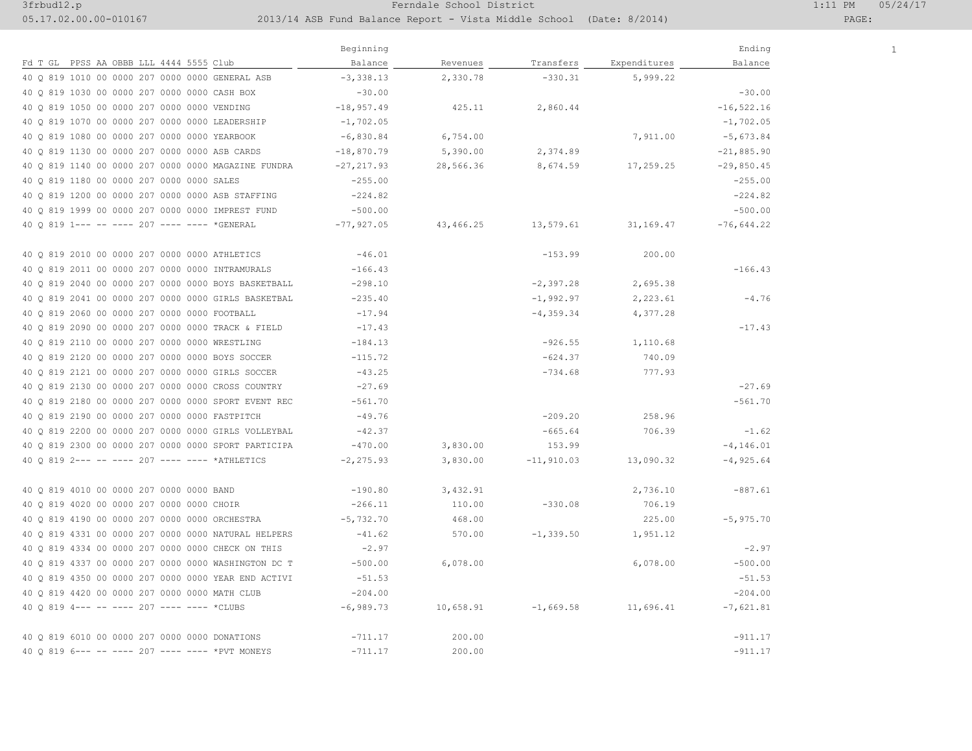## 3frbud12.p 1:11 PM 05/24/17

05.17.02.00.00-010167 2013/14 ASB Fund Balance Report - Vista Middle School (Date: 8/2014) PAGE:

 $\overline{1}$ 

|                                                     | Beginning    |           |              |              | Ending        |  |
|-----------------------------------------------------|--------------|-----------|--------------|--------------|---------------|--|
| Fd T GL PPSS AA OBBB LLL 4444 5555 Club             | Balance      | Revenues  | Transfers    | Expenditures | Balance       |  |
| 40 Q 819 1010 00 0000 207 0000 0000 GENERAL ASB     | $-3,338.13$  | 2,330.78  | $-330.31$    | 5,999.22     |               |  |
| 40 Q 819 1030 00 0000 207 0000 0000 CASH BOX        | $-30.00$     |           |              |              | $-30.00$      |  |
| 40 Q 819 1050 00 0000 207 0000 0000 VENDING         | $-18,957.49$ | 425.11    | 2,860.44     |              | $-16, 522.16$ |  |
| 40 Q 819 1070 00 0000 207 0000 0000 LEADERSHIP      | $-1,702.05$  |           |              |              | $-1,702.05$   |  |
| 40 Q 819 1080 00 0000 207 0000 0000 YEARBOOK        | $-6,830.84$  | 6,754.00  |              | 7,911.00     | $-5,673.84$   |  |
| 40 Q 819 1130 00 0000 207 0000 0000 ASB CARDS       | $-18,870.79$ | 5,390.00  | 2,374.89     |              | $-21,885.90$  |  |
| 40 Q 819 1140 00 0000 207 0000 0000 MAGAZINE FUNDRA | -27,217.93   | 28,566.36 | 8,674.59     | 17,259.25    | $-29,850.45$  |  |
| 40 Q 819 1180 00 0000 207 0000 0000 SALES           | $-255.00$    |           |              |              | $-255.00$     |  |
| 40 0 819 1200 00 0000 207 0000 0000 ASB STAFFING    | $-224.82$    |           |              |              | $-224.82$     |  |
| 40 Q 819 1999 00 0000 207 0000 0000 IMPREST FUND    | $-500.00$    |           |              |              | $-500.00$     |  |
| 40 0 819 1--- -- ---- 207 ---- ---- *GENERAL        | -77,927.05   | 43,466.25 | 13,579.61    | 31,169.47    | $-76,644.22$  |  |
| 40 Q 819 2010 00 0000 207 0000 0000 ATHLETICS       | $-46.01$     |           | $-153.99$    | 200.00       |               |  |
| 40 Q 819 2011 00 0000 207 0000 0000 INTRAMURALS     | $-166.43$    |           |              |              | $-166.43$     |  |
| 40 Q 819 2040 00 0000 207 0000 0000 BOYS BASKETBALL | $-298.10$    |           | $-2,397.28$  | 2,695.38     |               |  |
| 40 Q 819 2041 00 0000 207 0000 0000 GIRLS BASKETBAL | $-235.40$    |           | $-1,992.97$  | 2,223.61     | $-4.76$       |  |
| 40 Q 819 2060 00 0000 207 0000 0000 FOOTBALL        | -17.94       |           | $-4, 359.34$ | 4,377.28     |               |  |
| 40 0 819 2090 00 0000 207 0000 0000 TRACK & FIELD   | $-17.43$     |           |              |              | $-17.43$      |  |
| 40 Q 819 2110 00 0000 207 0000 0000 WRESTLING       | $-184.13$    |           | $-926.55$    | 1,110.68     |               |  |
| 40 Q 819 2120 00 0000 207 0000 0000 BOYS SOCCER     | $-115.72$    |           | $-624.37$    | 740.09       |               |  |
| 40 Q 819 2121 00 0000 207 0000 0000 GIRLS SOCCER    | $-43.25$     |           | $-734.68$    | 777.93       |               |  |
| 40 Q 819 2130 00 0000 207 0000 0000 CROSS COUNTRY   | $-27.69$     |           |              |              | $-27.69$      |  |
| 40 Q 819 2180 00 0000 207 0000 0000 SPORT EVENT REC | $-561.70$    |           |              |              | $-561.70$     |  |
| 40 Q 819 2190 00 0000 207 0000 0000 FASTPITCH       | $-49.76$     |           | $-209.20$    | 258.96       |               |  |
| 40 Q 819 2200 00 0000 207 0000 0000 GIRLS VOLLEYBAL | $-42.37$     |           | $-665.64$    | 706.39       | $-1.62$       |  |
| 40 O 819 2300 00 0000 207 0000 0000 SPORT PARTICIPA | $-470.00$    | 3,830.00  | 153.99       |              | $-4, 146.01$  |  |
| 40 0 819 2--- -- ---- 207 ---- ---- *ATHLETICS      | $-2, 275.93$ | 3,830.00  | $-11,910.03$ | 13,090.32    | $-4,925.64$   |  |
| 40 Q 819 4010 00 0000 207 0000 0000 BAND            | $-190.80$    | 3,432.91  |              | 2,736.10     | $-887.61$     |  |
| 40 Q 819 4020 00 0000 207 0000 0000 CHOIR           | $-266.11$    | 110.00    | $-330.08$    | 706.19       |               |  |
| 40 0 819 4190 00 0000 207 0000 0000 ORCHESTRA       | $-5,732,70$  | 468.00    |              | 225.00       | $-5, 975, 70$ |  |
| 40 Q 819 4331 00 0000 207 0000 0000 NATURAL HELPERS | $-41.62$     | 570.00    | $-1, 339.50$ | 1,951.12     |               |  |
| 40 Q 819 4334 00 0000 207 0000 0000 CHECK ON THIS   | $-2.97$      |           |              |              | $-2.97$       |  |
| 40 Q 819 4337 00 0000 207 0000 0000 WASHINGTON DC T | $-500.00$    | 6,078.00  |              | 6,078.00     | $-500.00$     |  |
| 40 Q 819 4350 00 0000 207 0000 0000 YEAR END ACTIVI | $-51.53$     |           |              |              | $-51.53$      |  |
| 40 Q 819 4420 00 0000 207 0000 0000 MATH CLUB       | $-204.00$    |           |              |              | $-204.00$     |  |
| 40 0 819 4--- -- ---- 207 ---- ---- *CLUBS          | $-6,989.73$  | 10,658.91 | $-1,669.58$  | 11,696.41    | $-7,621.81$   |  |
| 40 Q 819 6010 00 0000 207 0000 0000 DONATIONS       | $-711.17$    | 200.00    |              |              | $-911.17$     |  |
| 40 0 819 6--- -- ---- 207 ---- ---- *PVT MONEYS     | $-711.17$    | 200.00    |              |              | $-911.17$     |  |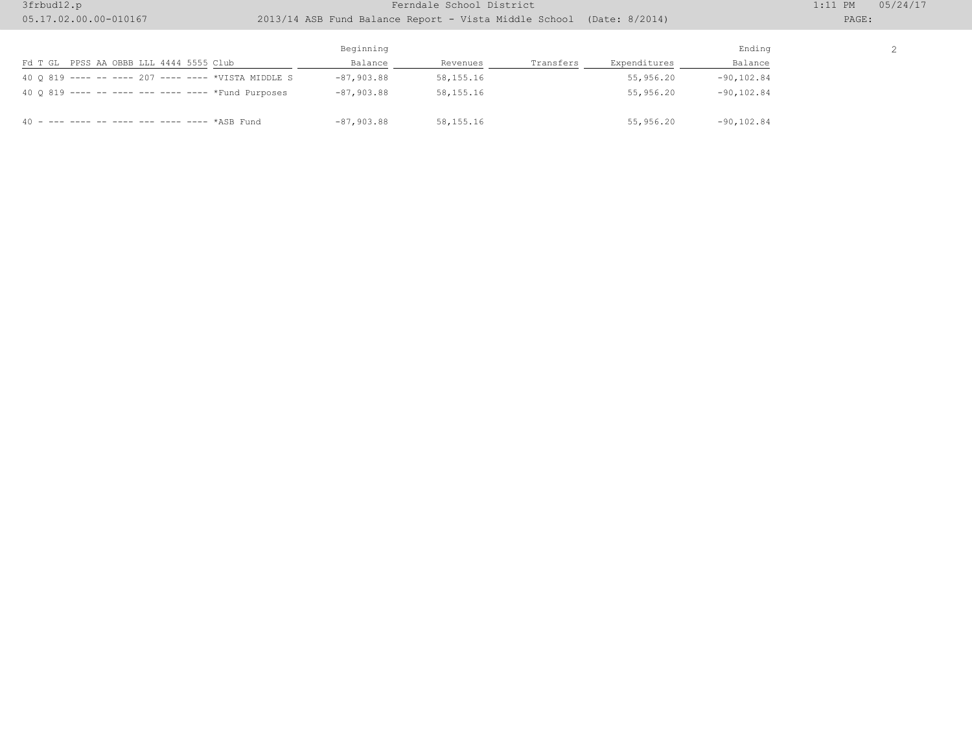## 3frbud12.p 1:11 PM 05/24/17

## 05.17.02.00.00-010167 2013/14 ASB Fund Balance Report - Vista Middle School (Date: 8/2014) PAGE:

2

|                                                     | Beginning    |             |           |              | Ending        |
|-----------------------------------------------------|--------------|-------------|-----------|--------------|---------------|
| PPSS AA OBBB LLL 4444 5555 Club<br>Fd T GL          | Balance      | Revenues    | Transfers | Expenditures | Balance       |
| 40 0 819 ---- -- ---- 207 ---- ---- *VISTA MIDDLE S | $-87,903.88$ | 58, 155. 16 |           | 55,956.20    | $-90, 102.84$ |
| 40 0 819 ---- -- ---- --- ---- ---- *Fund Purposes  | $-87,903.88$ | 58, 155, 16 |           | 55,956.20    | $-90, 102.84$ |
|                                                     | $-87,903.88$ | 58, 155, 16 |           | 55,956.20    | $-90, 102.84$ |